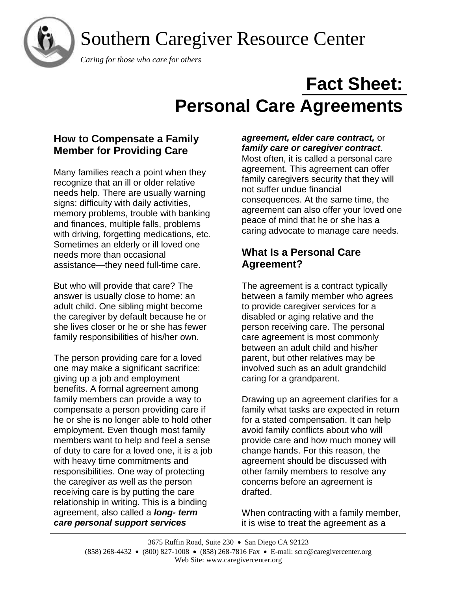

## Southern Caregiver Resource Center

 *Caring for those who care for others*

# **Fact Sheet: Personal Care Agreements**

## **How to Compensate a Family Member for Providing Care**

Many families reach a point when they recognize that an ill or older relative needs help. There are usually warning signs: difficulty with daily activities, memory problems, trouble with banking and finances, multiple falls, problems with driving, forgetting medications, etc. Sometimes an elderly or ill loved one needs more than occasional assistance—they need full-time care.

But who will provide that care? The answer is usually close to home: an adult child. One sibling might become the caregiver by default because he or she lives closer or he or she has fewer family responsibilities of his/her own.

The person providing care for a loved one may make a significant sacrifice: giving up a job and employment benefits. A formal agreement among family members can provide a way to compensate a person providing care if he or she is no longer able to hold other employment. Even though most family members want to help and feel a sense of duty to care for a loved one, it is a job with heavy time commitments and responsibilities. One way of protecting the caregiver as well as the person receiving care is by putting the care relationship in writing. This is a binding agreement, also called a *long- term care personal support services* 

## *agreement, elder care contract,* or *family care or caregiver contract*.

Most often, it is called a personal care agreement. This agreement can offer family caregivers security that they will not suffer undue financial consequences. At the same time, the agreement can also offer your loved one peace of mind that he or she has a caring advocate to manage care needs.

## **What Is a Personal Care Agreement?**

The agreement is a contract typically between a family member who agrees to provide caregiver services for a disabled or aging relative and the person receiving care. The personal care agreement is most commonly between an adult child and his/her parent, but other relatives may be involved such as an adult grandchild caring for a grandparent.

Drawing up an agreement clarifies for a family what tasks are expected in return for a stated compensation. It can help avoid family conflicts about who will provide care and how much money will change hands. For this reason, the agreement should be discussed with other family members to resolve any concerns before an agreement is drafted.

When contracting with a family member, it is wise to treat the agreement as a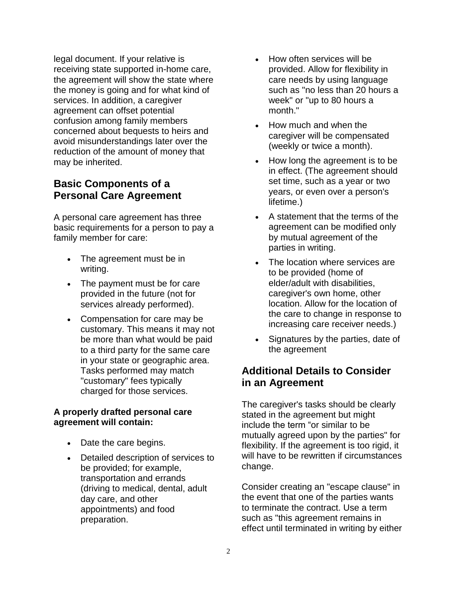legal document. If your relative is receiving state supported in-home care, the agreement will show the state where the money is going and for what kind of services. In addition, a caregiver agreement can offset potential confusion among family members concerned about bequests to heirs and avoid misunderstandings later over the reduction of the amount of money that may be inherited.

## **Basic Components of a Personal Care Agreement**

A personal care agreement has three basic requirements for a person to pay a family member for care:

- The agreement must be in writing.
- The payment must be for care provided in the future (not for services already performed).
- Compensation for care may be customary. This means it may not be more than what would be paid to a third party for the same care in your state or geographic area. Tasks performed may match "customary" fees typically charged for those services.

## **A properly drafted personal care agreement will contain:**

- Date the care begins.
- Detailed description of services to be provided; for example, transportation and errands (driving to medical, dental, adult day care, and other appointments) and food preparation.
- How often services will be provided. Allow for flexibility in care needs by using language such as "no less than 20 hours a week" or "up to 80 hours a month."
- How much and when the caregiver will be compensated (weekly or twice a month).
- How long the agreement is to be in effect. (The agreement should set time, such as a year or two years, or even over a person's lifetime.)
- A statement that the terms of the agreement can be modified only by mutual agreement of the parties in writing.
- The location where services are to be provided (home of elder/adult with disabilities, caregiver's own home, other location. Allow for the location of the care to change in response to increasing care receiver needs.)
- Signatures by the parties, date of the agreement

## **Additional Details to Consider in an Agreement**

The caregiver's tasks should be clearly stated in the agreement but might include the term "or similar to be mutually agreed upon by the parties" for flexibility. If the agreement is too rigid, it will have to be rewritten if circumstances change.

Consider creating an "escape clause" in the event that one of the parties wants to terminate the contract. Use a term such as "this agreement remains in effect until terminated in writing by either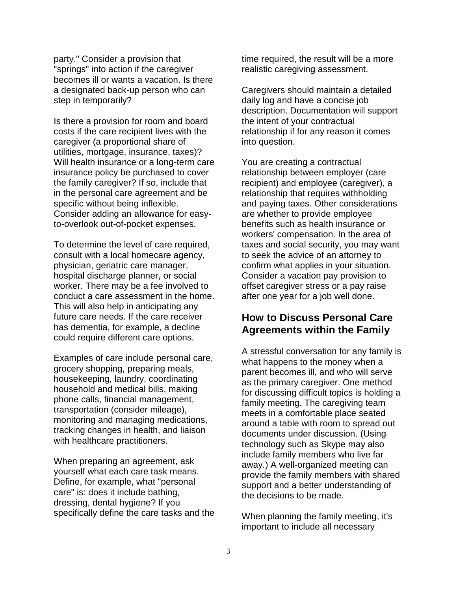party." Consider a provision that "springs" into action if the caregiver becomes ill or wants a vacation. Is there a designated back-up person who can step in temporarily?

Is there a provision for room and board costs if the care recipient lives with the caregiver (a proportional share of utilities, mortgage, insurance, taxes)? Will health insurance or a long-term care insurance policy be purchased to cover the family caregiver? If so, include that in the personal care agreement and be specific without being inflexible. Consider adding an allowance for easyto-overlook out-of-pocket expenses.

To determine the level of care required, consult with a local homecare agency, physician, geriatric care manager, hospital discharge planner, or social worker. There may be a fee involved to conduct a care assessment in the home. This will also help in anticipating any future care needs. If the care receiver has dementia, for example, a decline could require different care options.

Examples of care include personal care, grocery shopping, preparing meals, housekeeping, laundry, coordinating household and medical bills, making phone calls, financial management, transportation (consider mileage), monitoring and managing medications, tracking changes in health, and liaison with healthcare practitioners.

When preparing an agreement, ask yourself what each care task means. Define, for example, what "personal care" is: does it include bathing, dressing, dental hygiene? If you specifically define the care tasks and the time required, the result will be a more realistic caregiving assessment.

Caregivers should maintain a detailed daily log and have a concise job description. Documentation will support the intent of your contractual relationship if for any reason it comes into question.

You are creating a contractual relationship between employer (care recipient) and employee (caregiver), a relationship that requires withholding and paying taxes. Other considerations are whether to provide employee benefits such as health insurance or workers' compensation. In the area of taxes and social security, you may want to seek the advice of an attorney to confirm what applies in your situation. Consider a vacation pay provision to offset caregiver stress or a pay raise after one year for a job well done.

## **How to Discuss Personal Care Agreements within the Family**

A stressful conversation for any family is what happens to the money when a parent becomes ill, and who will serve as the primary caregiver. One method for discussing difficult topics is holding a family meeting. The caregiving team meets in a comfortable place seated around a table with room to spread out documents under discussion. (Using technology such as Skype may also include family members who live far away.) A well-organized meeting can provide the family members with shared support and a better understanding of the decisions to be made.

When planning the family meeting, it's important to include all necessary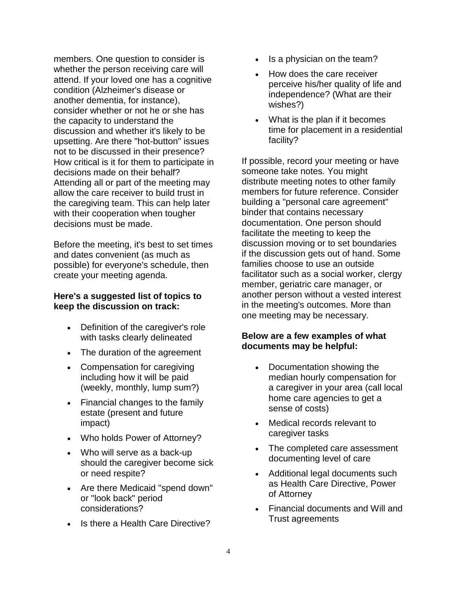members. One question to consider is whether the person receiving care will attend. If your loved one has a cognitive condition (Alzheimer's disease or another dementia, for instance), consider whether or not he or she has the capacity to understand the discussion and whether it's likely to be upsetting. Are there "hot-button" issues not to be discussed in their presence? How critical is it for them to participate in decisions made on their behalf? Attending all or part of the meeting may allow the care receiver to build trust in the caregiving team. This can help later with their cooperation when tougher decisions must be made.

Before the meeting, it's best to set times and dates convenient (as much as possible) for everyone's schedule, then create your meeting agenda.

#### **Here's a suggested list of topics to keep the discussion on track:**

- Definition of the caregiver's role with tasks clearly delineated
- The duration of the agreement
- Compensation for caregiving including how it will be paid (weekly, monthly, lump sum?)
- Financial changes to the family estate (present and future impact)
- Who holds Power of Attorney?
- Who will serve as a back-up should the caregiver become sick or need respite?
- Are there Medicaid "spend down" or "look back" period considerations?
- Is there a Health Care Directive?
- Is a physician on the team?
- How does the care receiver perceive his/her quality of life and independence? (What are their wishes?)
- What is the plan if it becomes time for placement in a residential facility?

If possible, record your meeting or have someone take notes. You might distribute meeting notes to other family members for future reference. Consider building a "personal care agreement" binder that contains necessary documentation. One person should facilitate the meeting to keep the discussion moving or to set boundaries if the discussion gets out of hand. Some families choose to use an outside facilitator such as a social worker, clergy member, geriatric care manager, or another person without a vested interest in the meeting's outcomes. More than one meeting may be necessary.

#### **Below are a few examples of what documents may be helpful:**

- Documentation showing the median hourly compensation for a caregiver in your area (call local home care agencies to get a sense of costs)
- Medical records relevant to caregiver tasks
- The completed care assessment documenting level of care
- Additional legal documents such as Health Care Directive, Power of Attorney
- Financial documents and Will and Trust agreements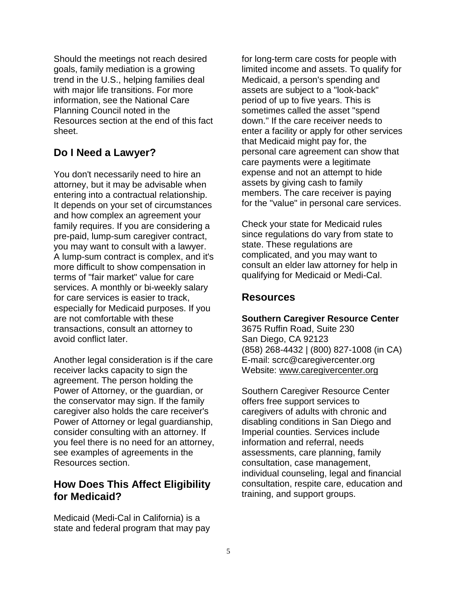Should the meetings not reach desired goals, family mediation is a growing trend in the U.S., helping families deal with major life transitions. For more information, see the National Care Planning Council noted in the Resources section at the end of this fact sheet.

## **Do I Need a Lawyer?**

You don't necessarily need to hire an attorney, but it may be advisable when entering into a contractual relationship. It depends on your set of circumstances and how complex an agreement your family requires. If you are considering a pre-paid, lump-sum caregiver contract, you may want to consult with a lawyer. A lump-sum contract is complex, and it's more difficult to show compensation in terms of "fair market" value for care services. A monthly or bi-weekly salary for care services is easier to track, especially for Medicaid purposes. If you are not comfortable with these transactions, consult an attorney to avoid conflict later.

Another legal consideration is if the care receiver lacks capacity to sign the agreement. The person holding the Power of Attorney, or the guardian, or the conservator may sign. If the family caregiver also holds the care receiver's Power of Attorney or legal guardianship, consider consulting with an attorney. If you feel there is no need for an attorney, see examples of agreements in the Resources section.

## **How Does This Affect Eligibility for Medicaid?**

Medicaid (Medi-Cal in California) is a state and federal program that may pay for long-term care costs for people with limited income and assets. To qualify for Medicaid, a person's spending and assets are subject to a "look-back" period of up to five years. This is sometimes called the asset "spend down." If the care receiver needs to enter a facility or apply for other services that Medicaid might pay for, the personal care agreement can show that care payments were a legitimate expense and not an attempt to hide assets by giving cash to family members. The care receiver is paying for the "value" in personal care services.

Check your state for Medicaid rules since regulations do vary from state to state. These regulations are complicated, and you may want to consult an elder law attorney for help in qualifying for Medicaid or Medi-Cal.

## **Resources**

#### **Southern Caregiver Resource Center**

3675 Ruffin Road, Suite 230 San Diego, CA 92123 (858) 268-4432 | (800) 827-1008 (in CA) E-mail: scrc@caregivercenter.org Website: [www.caregivercenter.org](http://www.caregivercenter.org/)

Southern Caregiver Resource Center offers free support services to caregivers of adults with chronic and disabling conditions in San Diego and Imperial counties. Services include information and referral, needs assessments, care planning, family consultation, case management, individual counseling, legal and financial consultation, respite care, education and training, and support groups.